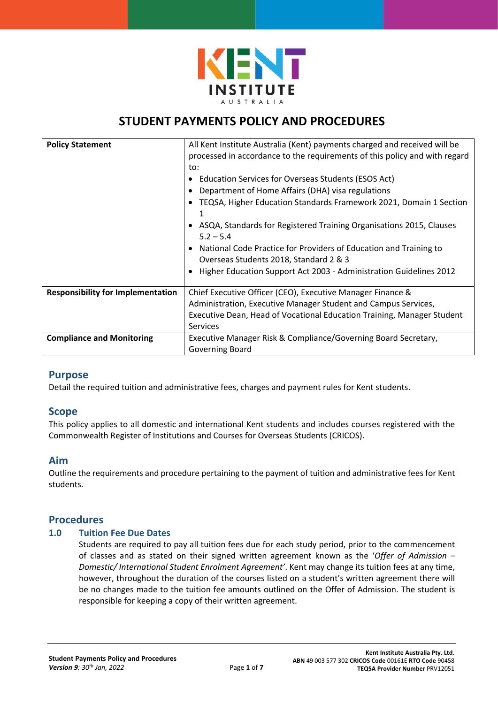

# **STUDENT PAYMENTS POLICY AND PROCEDURES**

| <b>Policy Statement</b>                  | All Kent Institute Australia (Kent) payments charged and received will be<br>processed in accordance to the requirements of this policy and with regard<br>to:<br>Education Services for Overseas Students (ESOS Act)<br>Department of Home Affairs (DHA) visa regulations<br>TEQSA, Higher Education Standards Framework 2021, Domain 1 Section<br>1<br>ASQA, Standards for Registered Training Organisations 2015, Clauses<br>$5.2 - 5.4$<br>National Code Practice for Providers of Education and Training to<br>٠<br>Overseas Students 2018, Standard 2 & 3<br>Higher Education Support Act 2003 - Administration Guidelines 2012 |
|------------------------------------------|---------------------------------------------------------------------------------------------------------------------------------------------------------------------------------------------------------------------------------------------------------------------------------------------------------------------------------------------------------------------------------------------------------------------------------------------------------------------------------------------------------------------------------------------------------------------------------------------------------------------------------------|
| <b>Responsibility for Implementation</b> | Chief Executive Officer (CEO), Executive Manager Finance &                                                                                                                                                                                                                                                                                                                                                                                                                                                                                                                                                                            |
|                                          | Administration, Executive Manager Student and Campus Services,                                                                                                                                                                                                                                                                                                                                                                                                                                                                                                                                                                        |
|                                          | Executive Dean, Head of Vocational Education Training, Manager Student                                                                                                                                                                                                                                                                                                                                                                                                                                                                                                                                                                |
|                                          | <b>Services</b>                                                                                                                                                                                                                                                                                                                                                                                                                                                                                                                                                                                                                       |
| <b>Compliance and Monitoring</b>         | Executive Manager Risk & Compliance/Governing Board Secretary,                                                                                                                                                                                                                                                                                                                                                                                                                                                                                                                                                                        |
|                                          | <b>Governing Board</b>                                                                                                                                                                                                                                                                                                                                                                                                                                                                                                                                                                                                                |

# **Purpose**

Detail the required tuition and administrative fees, charges and payment rules for Kent students.

## **Scope**

This policy applies to all domestic and international Kent students and includes courses registered with the Commonwealth Register of Institutions and Courses for Overseas Students (CRICOS).

## **Aim**

Outline the requirements and procedure pertaining to the payment of tuition and administrative fees for Kent students.

# **Procedures**

#### **1.0 Tuition Fee Due Dates**

Students are required to pay all tuition fees due for each study period, prior to the commencement of classes and as stated on their signed written agreement known as the '*Offer of Admission – Domestic/ International Student Enrolment Agreement'*. Kent may change its tuition fees at any time, however, throughout the duration of the courses listed on a student's written agreement there will be no changes made to the tuition fee amounts outlined on the Offer of Admission. The student is responsible for keeping a copy of their written agreement.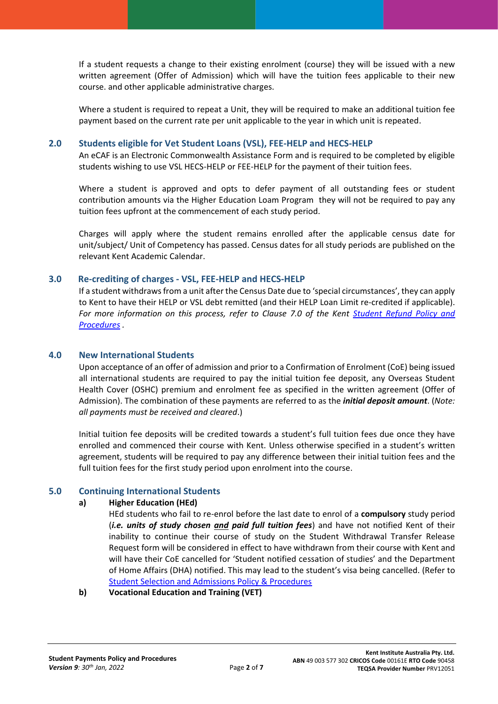If a student requests a change to their existing enrolment (course) they will be issued with a new written agreement (Offer of Admission) which will have the tuition fees applicable to their new course. and other applicable administrative charges.

Where a student is required to repeat a Unit, they will be required to make an additional tuition fee payment based on the current rate per unit applicable to the year in which unit is repeated.

#### **2.0 Students eligible for Vet Student Loans (VSL), FEE-HELP and HECS-HELP**

An eCAF is an Electronic Commonwealth Assistance Form and is required to be completed by eligible students wishing to use VSL HECS-HELP or FEE-HELP for the payment of their tuition fees.

Where a student is approved and opts to defer payment of all outstanding fees or student contribution amounts via the Higher Education Loam Program they will not be required to pay any tuition fees upfront at the commencement of each study period.

Charges will apply where the student remains enrolled after the applicable census date for unit/subject/ Unit of Competency has passed. Census dates for all study periods are published on the relevant Kent Academic Calendar.

## **3.0 Re-crediting of charges - VSL, FEE-HELP and HECS-HELP**

If a student withdraws from a unit after the Census Date due to 'special circumstances', they can apply to Kent to have their HELP or VSL debt remitted (and their HELP Loan Limit re-credited if applicable). *For more information on this process, refer to Clause 7.0 of the Kent [Student Refund Policy and](https://kent.edu.au/kent3/wp-content/uploads/policy-student-refund-policy-procedures.pdf)  [Procedures](https://kent.edu.au/kent3/wp-content/uploads/policy-student-refund-policy-procedures.pdf) .*

#### **4.0 New International Students**

Upon acceptance of an offer of admission and prior to a Confirmation of Enrolment (CoE) being issued all international students are required to pay the initial tuition fee deposit, any Overseas Student Health Cover (OSHC) premium and enrolment fee as specified in the written agreement (Offer of Admission). The combination of these payments are referred to as the *initial deposit amount*. (*Note: all payments must be received and cleared*.)

Initial tuition fee deposits will be credited towards a student's full tuition fees due once they have enrolled and commenced their course with Kent. Unless otherwise specified in a student's written agreement, students will be required to pay any difference between their initial tuition fees and the full tuition fees for the first study period upon enrolment into the course.

## **5.0 Continuing International Students**

## **a) Higher Education (HEd)**

HEd students who fail to re-enrol before the last date to enrol of a **compulsory** study period (*i.e. units of study chosen and paid full tuition fees*) and have not notified Kent of their inability to continue their course of study on the Student Withdrawal Transfer Release Request form will be considered in effect to have withdrawn from their course with Kent and will have their CoE cancelled for 'Student notified cessation of studies' and the Department of Home Affairs (DHA) notified. This may lead to the student's visa being cancelled. (Refer to [Student Selection and Admissions Policy & Procedures](https://kent.edu.au/kent3/wp-content/uploads/policy-student-selection-and-admission-policy-and-procedure.pdf)

**b) Vocational Education and Training (VET)**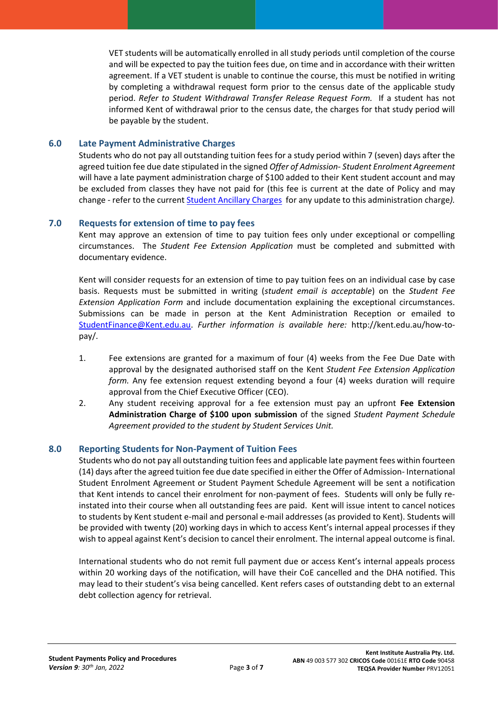VET students will be automatically enrolled in all study periods until completion of the course and will be expected to pay the tuition fees due, on time and in accordance with their written agreement. If a VET student is unable to continue the course, this must be notified in writing by completing a withdrawal request form prior to the census date of the applicable study period. *Refer to Student Withdrawal Transfer Release Request Form.* If a student has not informed Kent of withdrawal prior to the census date, the charges for that study period will be payable by the student.

#### **6.0 Late Payment Administrative Charges**

Students who do not pay all outstanding tuition fees for a study period within 7 (seven) days after the agreed tuition fee due date stipulated in the signed *Offer of Admission- Student Enrolment Agreement* will have a late payment administration charge of \$100 added to their Kent student account and may be excluded from classes they have not paid for (this fee is current at the date of Policy and may change - refer to the current [Student Ancillary Charges](https://kent.edu.au/kent3/wp-content/uploads/doc-student-ancillary-charges.pdf) for any update to this administration charge*).*

## **7.0 Requests for extension of time to pay fees**

Kent may approve an extension of time to pay tuition fees only under exceptional or compelling circumstances. The *Student Fee Extension Application* must be completed and submitted with documentary evidence.

Kent will consider requests for an extension of time to pay tuition fees on an individual case by case basis. Requests must be submitted in writing (*student email is acceptable*) on the *Student Fee Extension Application Form* and include documentation explaining the exceptional circumstances. Submissions can be made in person at the Kent Administration Reception or emailed to [StudentFinance@Kent.edu.au.](mailto:StudentFinance@Kent.edu.au) *Further information is available here:* [http://kent.edu.au/how-to](http://kent.edu.au/how-to-pay/)[pay/.](http://kent.edu.au/how-to-pay/)

- 1. Fee extensions are granted for a maximum of four (4) weeks from the Fee Due Date with approval by the designated authorised staff on the Kent *Student Fee Extension Application form.* Any fee extension request extending beyond a four (4) weeks duration will require approval from the Chief Executive Officer (CEO).
- 2. Any student receiving approval for a fee extension must pay an upfront **Fee Extension Administration Charge of \$100 upon submission** of the signed *Student Payment Schedule Agreement provided to the student by Student Services Unit.*

## **8.0 Reporting Students for Non-Payment of Tuition Fees**

Students who do not pay all outstanding tuition fees and applicable late payment fees within fourteen (14) days after the agreed tuition fee due date specified in either the Offer of Admission- International Student Enrolment Agreement or Student Payment Schedule Agreement will be sent a notification that Kent intends to cancel their enrolment for non-payment of fees. Students will only be fully reinstated into their course when all outstanding fees are paid. Kent will issue intent to cancel notices to students by Kent student e-mail and personal e-mail addresses (as provided to Kent). Students will be provided with twenty (20) working days in which to access Kent's internal appeal processes if they wish to appeal against Kent's decision to cancel their enrolment. The internal appeal outcome is final.

International students who do not remit full payment due or access Kent's internal appeals process within 20 working days of the notification, will have their CoE cancelled and the DHA notified. This may lead to their student's visa being cancelled. Kent refers cases of outstanding debt to an external debt collection agency for retrieval.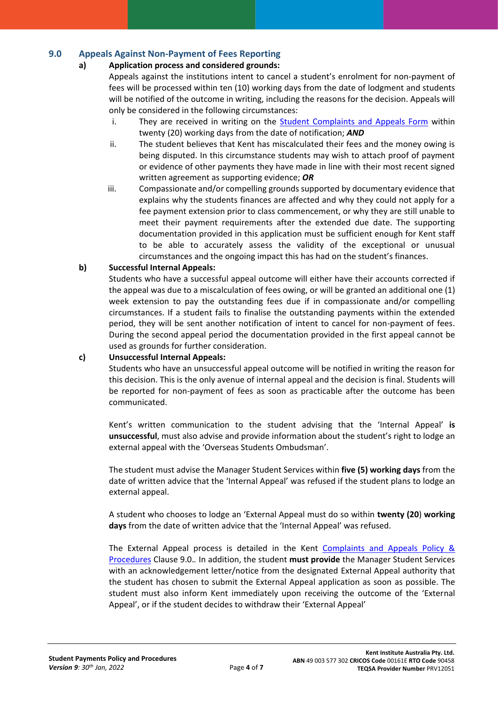## **9.0 Appeals Against Non-Payment of Fees Reporting**

## **a) Application process and considered grounds:**

Appeals against the institutions intent to cancel a student's enrolment for non-payment of fees will be processed within ten (10) working days from the date of lodgment and students will be notified of the outcome in writing, including the reasons for the decision. Appeals will only be considered in the following circumstances:

- i. They are received in writing on the **[Student Complaints and Appeals Form](https://kent.edu.au/kent3/wp-content/uploads/form-student-complaints-appeals-form.pdf) within** twenty (20) working days from the date of notification; *AND*
- ii. The student believes that Kent has miscalculated their fees and the money owing is being disputed. In this circumstance students may wish to attach proof of payment or evidence of other payments they have made in line with their most recent signed written agreement as supporting evidence; *OR*
- iii. Compassionate and/or compelling grounds supported by documentary evidence that explains why the students finances are affected and why they could not apply for a fee payment extension prior to class commencement, or why they are still unable to meet their payment requirements after the extended due date. The supporting documentation provided in this application must be sufficient enough for Kent staff to be able to accurately assess the validity of the exceptional or unusual circumstances and the ongoing impact this has had on the student's finances.

## **b) Successful Internal Appeals:**

Students who have a successful appeal outcome will either have their accounts corrected if the appeal was due to a miscalculation of fees owing, or will be granted an additional one (1) week extension to pay the outstanding fees due if in compassionate and/or compelling circumstances. If a student fails to finalise the outstanding payments within the extended period, they will be sent another notification of intent to cancel for non-payment of fees. During the second appeal period the documentation provided in the first appeal cannot be used as grounds for further consideration.

## **c) Unsuccessful Internal Appeals:**

Students who have an unsuccessful appeal outcome will be notified in writing the reason for this decision. This is the only avenue of internal appeal and the decision is final. Students will be reported for non-payment of fees as soon as practicable after the outcome has been communicated.

Kent's written communication to the student advising that the 'Internal Appeal' **is unsuccessful**, must also advise and provide information about the student's right to lodge an external appeal with the 'Overseas Students Ombudsman'.

The student must advise the Manager Student Services within **five (5) working days** from the date of written advice that the 'Internal Appeal' was refused if the student plans to lodge an external appeal.

A student who chooses to lodge an 'External Appeal must do so within **twenty (20**) **working days** from the date of written advice that the 'Internal Appeal' was refused.

The External Appeal process is detailed in the Kent [Complaints and Appeals Policy &](https://kent.edu.au/kent3/wp-content/uploads/policy-complaints-and-appeals-policy-procedures.pdf)  [Procedures](https://kent.edu.au/kent3/wp-content/uploads/policy-complaints-and-appeals-policy-procedures.pdf) Clause 9.0.*.* In addition, the student **must provide** the Manager Student Services with an acknowledgement letter/notice from the designated External Appeal authority that the student has chosen to submit the External Appeal application as soon as possible. The student must also inform Kent immediately upon receiving the outcome of the 'External Appeal', or if the student decides to withdraw their 'External Appeal'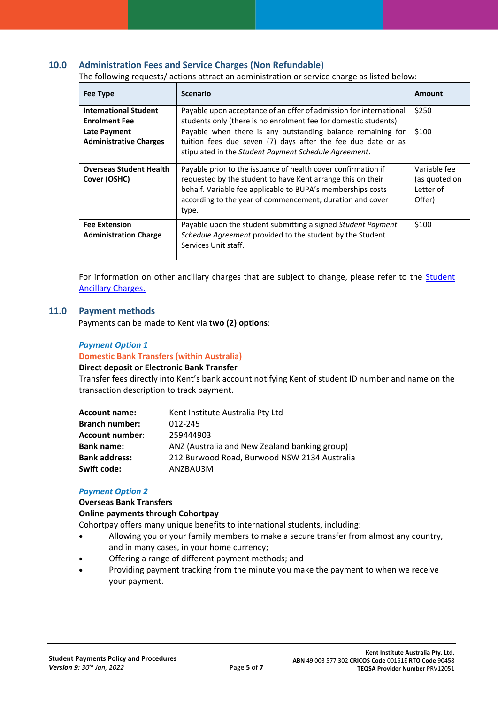#### **10.0 Administration Fees and Service Charges (Non Refundable)**

The following requests/ actions attract an administration or service charge as listed below:

| <b>Fee Type</b>                                      | <b>Scenario</b>                                                                                                                                                                                                                                                   | Amount                                               |
|------------------------------------------------------|-------------------------------------------------------------------------------------------------------------------------------------------------------------------------------------------------------------------------------------------------------------------|------------------------------------------------------|
| <b>International Student</b><br><b>Enrolment Fee</b> | Payable upon acceptance of an offer of admission for international<br>students only (there is no enrolment fee for domestic students)                                                                                                                             | \$250                                                |
| <b>Late Payment</b><br><b>Administrative Charges</b> | Payable when there is any outstanding balance remaining for<br>tuition fees due seven (7) days after the fee due date or as<br>stipulated in the Student Payment Schedule Agreement.                                                                              | \$100                                                |
| <b>Overseas Student Health</b><br>Cover (OSHC)       | Payable prior to the issuance of health cover confirmation if<br>requested by the student to have Kent arrange this on their<br>behalf. Variable fee applicable to BUPA's memberships costs<br>according to the year of commencement, duration and cover<br>type. | Variable fee<br>(as quoted on<br>Letter of<br>Offer) |
| <b>Fee Extension</b><br><b>Administration Charge</b> | Payable upon the student submitting a signed Student Payment<br>Schedule Agreement provided to the student by the Student<br>Services Unit staff.                                                                                                                 | \$100                                                |

For information on other ancillary charges that are subject to change, please refer to the [Student](https://kent.edu.au/kent3/wp-content/uploads/doc-student-ancillary-charges.pdf)  [Ancillary Charges.](https://kent.edu.au/kent3/wp-content/uploads/doc-student-ancillary-charges.pdf)

#### **11.0 Payment methods**

Payments can be made to Kent via **two (2) options**:

#### *Payment Option 1*

#### **Domestic Bank Transfers (within Australia)**

#### **Direct deposit or Electronic Bank Transfer**

Transfer fees directly into Kent's bank account notifying Kent of student ID number and name on the transaction description to track payment.

| Kent Institute Australia Pty Ltd              |
|-----------------------------------------------|
| 012-245                                       |
| 259444903                                     |
| ANZ (Australia and New Zealand banking group) |
| 212 Burwood Road, Burwood NSW 2134 Australia  |
| ANZBAU3M                                      |
|                                               |

#### *Payment Option 2*

#### **Overseas Bank Transfers**

#### **Online payments through Cohortpay**

Cohortpay offers many unique benefits to international students, including:

- Allowing you or your family members to make a secure transfer from almost any country, and in many cases, in your home currency;
- Offering a range of different payment methods; and
- Providing payment tracking from the minute you make the payment to when we receive your payment.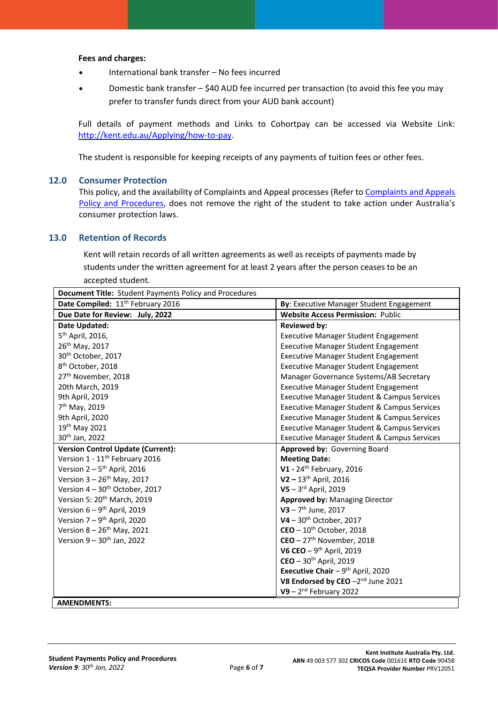#### **Fees and charges:**

- International bank transfer No fees incurred
- Domestic bank transfer \$40 AUD fee incurred per transaction (to avoid this fee you may prefer to transfer funds direct from your AUD bank account)

Full details of payment methods and Links to Cohortpay can be accessed via Website Link: [http://kent.edu.au/Applying/how-to-pay.](http://kent.edu.au/Applying/how-to-pay)

The student is responsible for keeping receipts of any payments of tuition fees or other fees.

#### **12.0 Consumer Protection**

This policy, and the availability of Complaints and Appeal processes (Refer to [Complaints and Appeals](https://kent.edu.au/kent3/wp-content/uploads/policy-complaints-and-appeals-policy-procedures.pdf)  [Policy and Procedures,](https://kent.edu.au/kent3/wp-content/uploads/policy-complaints-and-appeals-policy-procedures.pdf) does not remove the right of the student to take action under Australia's consumer protection laws.

#### **13.0 Retention of Records**

Kent will retain records of all written agreements as well as receipts of payments made by students under the written agreement for at least 2 years after the person ceases to be an accepted student.

| Document Title: Student Payments Policy and Procedures |                                                        |  |
|--------------------------------------------------------|--------------------------------------------------------|--|
| Date Compiled: 11 <sup>th</sup> February 2016          | By: Executive Manager Student Engagement               |  |
| Due Date for Review: July, 2022                        | <b>Website Access Permission: Public</b>               |  |
| Date Updated:                                          | <b>Reviewed by:</b>                                    |  |
| 5 <sup>th</sup> April, 2016,                           | <b>Executive Manager Student Engagement</b>            |  |
| 26th May, 2017                                         | <b>Executive Manager Student Engagement</b>            |  |
| 30 <sup>th</sup> October, 2017                         | <b>Executive Manager Student Engagement</b>            |  |
| 8 <sup>th</sup> October, 2018                          | <b>Executive Manager Student Engagement</b>            |  |
| 27 <sup>th</sup> November, 2018                        | Manager Governance Systems/AB Secretary                |  |
| 20th March, 2019                                       | <b>Executive Manager Student Engagement</b>            |  |
| 9th April, 2019                                        | <b>Executive Manager Student &amp; Campus Services</b> |  |
| 7 <sup>th</sup> May, 2019                              | <b>Executive Manager Student &amp; Campus Services</b> |  |
| 9th April, 2020                                        | <b>Executive Manager Student &amp; Campus Services</b> |  |
| 19th May 2021                                          | <b>Executive Manager Student &amp; Campus Services</b> |  |
| 30 <sup>th</sup> Jan, 2022                             | <b>Executive Manager Student &amp; Campus Services</b> |  |
| <b>Version Control Update (Current):</b>               | Approved by: Governing Board                           |  |
| Version 1 - 11 <sup>th</sup> February 2016             | <b>Meeting Date:</b>                                   |  |
| Version $2-5$ <sup>th</sup> April, 2016                | V1 - 24 <sup>th</sup> February, 2016                   |  |
| Version $3 - 26$ <sup>th</sup> May, 2017               | $V2 - 13$ <sup>th</sup> April, 2016                    |  |
| Version 4 - 30 <sup>th</sup> October, 2017             | $V5 - 3$ <sup>rd</sup> April, 2019                     |  |
| Version 5: 20 <sup>th</sup> March, 2019                | Approved by: Managing Director                         |  |
| Version $6 - 9$ <sup>th</sup> April, 2019              | $V3 - 7$ <sup>th</sup> June, 2017                      |  |
| Version $7-9$ <sup>th</sup> April, 2020                | $V4 - 30^{th}$ October, 2017                           |  |
| Version $8 - 26$ <sup>th</sup> May, 2021               | $CEO - 10th October, 2018$                             |  |
| Version 9 - 30 <sup>th</sup> Jan, 2022                 | $CEO - 27th$ November, 2018                            |  |
|                                                        | V6 CEO $-9$ <sup>th</sup> April, 2019                  |  |
|                                                        | $CEO - 30th$ April, 2019                               |  |
|                                                        | Executive Chair $-9$ <sup>th</sup> April, 2020         |  |
|                                                        | V8 Endorsed by CEO -2nd June 2021                      |  |
|                                                        | $V9 - 2nd February 2022$                               |  |
| <b>AMENDMENTS.</b>                                     |                                                        |  |

**AMENDMENTS:**